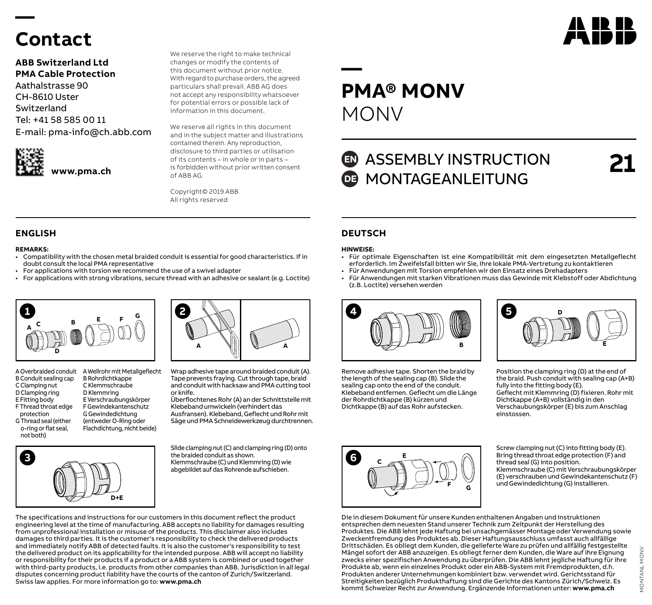# **Contact**

**—** 

### **ABB Switzerland Ltd PMA Cable Protection**

Aathalstrasse 90 CH-8610 Uster Switzerland Tel: +41 58 585 00 11 E-mail: pma-info@ch.abb.com



**www.pma.ch**

We reserve the right to make technical changes or modify the contents of this document without prior notice. With regard to purchase orders, the agreed particulars shall prevail. ABB AG does not accept any responsibility whatsoever for potential errors or possible lack of information in this document.

We reserve all rights in this document and in the subject matter and illustrations contained therein. Any reproduction, disclosure to third parties or utilisation of its contents – in whole or in parts – is forbidden without prior written consent of ABB AG.

Copyright© 2019 ABB All rights reserved

### **ENGLISH DEUTSCH**

#### **REMARKS:**

- Compatibility with the chosen metal braided conduit is essential for good characteristics. If in doubt consult the local PMA representative
- For applications with torsion we recommend the use of a swivel adapter
- For applications with strong vibrations, secure thread with an adhesive or sealant (e.g. Loctite)



B Conduit sealing cap C Clamping nut D Clamping ring E Fitting body F Thread throat edge protection G Thread seal (either o-ring or flat seal, not both)

**3**

A Overbraided conduit A Wellrohr mit Metallgeflecht B Rohrdichtkappe C Klemmschraube D Klemmring E Verschraubungskörper F Gewindekantenschutz G Gewindedichtung (entweder O-Ring oder Flachdichtung, nicht beide)

**D+E**



Wrap adhesive tape around braided conduit (A). Tape prevents fraying. Cut through tape, braid and conduit with hacksaw and PMA cutting tool or knife.

Überflochtenes Rohr (A) an der Schnittstelle mit Klebeband umwickeln (verhindert das Ausfransen). Klebeband, Geflecht und Rohr mit Säge und PMA Schneidewerkzeug durchtrennen.

Slide clamping nut (C) and clamping ring (D) onto the braided conduit as shown. Klemmschraube (C) und Klemmring (D) wie abgebildet auf das Rohrende aufschieben.

The specifications and instructions for our customers in this document reflect the product engineering level at the time of manufacturing. ABB accepts no liability for damages resulting from unprofessional installation or misuse of the products. This disclaimer also includes damages to third parties. It is the customer's responsibility to check the delivered products and immediately notify ABB of detected faults. It is also the customer's responsibility to test the delivered product on its applicability for the intended purpose. ABB will accept no liability or responsibility for their products if a product or a ABB system is combined or used together with third-party products, i.e. products from other companies than ABB. Jurisdiction in all legal disputes concerning product liability have the courts of the canton of Zurich/Switzerland. Swiss law applies. For more information go to: **www.pma.ch**

# **— PMA® MONV** MONV

## **ED** ASSEMBLY INSTRUCTION **DE MONTAGEANLEITUNG**

**21**

AN HR I

#### **HINWEISE:**

- Für optimale Eigenschaften ist eine Kompatibilität mit dem eingesetzten Metallgeflecht erforderlich. Im Zweifelsfall bitten wir Sie, Ihre lokale PMA-Vertretung zu kontaktieren
- Für Anwendungen mit Torsion empfehlen wir den Einsatz eines Drehadapters
- Für Anwendungen mit starken Vibrationen muss das Gewinde mit Klebstoff oder Abdichtung (z.B. Loctite) versehen werden



Remove adhesive tape. Shorten the braid by the length of the sealing cap (B). Slide the sealing cap onto the end of the conduit. Klebeband entfernen. Geflecht um die Länge der Rohrdichtkappe (B) kürzen und Dichtkappe (B) auf das Rohr aufstecken.

**6 <sup>C</sup> <sup>E</sup>**



Position the clamping ring (D) at the end of the braid. Push conduit with sealing cap (A+B) fully into the fitting body (E). Geflecht mit Klemmring (D) fixieren. Rohr mit Dichtkappe (A+B) vollständig in den Verschaubungskörper (E) bis zum Anschlag einstossen.

Screw clamping nut (C) into fitting body (E). Bring thread throat edge protection (F) and thread seal (G) into position. Klemmschraube (C) mit Verschraubungskörper (E) verschrauben und Gewindekantenschutz (F) und Gewindedichtung (G) installieren.

Die in diesem Dokument für unsere Kunden enthaltenen Angaben und Instruktionen entsprechen dem neuesten Stand unserer Technik zum Zeitpunkt der Herstellung des Produktes. Die ABB lehnt jede Haftung bei unsachgemässer Montage oder Verwendung sowie Zweckentfremdung des Produktes ab. Dieser Haftungsausschluss umfasst auch allfällige Drittschäden. Es obliegt dem Kunden, die gelieferte Ware zu prüfen und allfällig festgestellte Mängel sofort der ABB anzuzeigen. Es obliegt ferner dem Kunden, die Ware auf ihre Eignung zwecks einer spezifischen Anwendung zu überprüfen. Die ABB lehnt jegliche Haftung für ihre Produkte ab, wenn ein einzelnes Produkt oder ein ABB-System mit Fremdprodukten, d.h. Produkten anderer Unternehmungen kombiniert bzw. verwendet wird. Gerichtsstand für Streitigkeiten bezüglich Produkthaftung sind die Gerichte des Kantons Zürich/Schweiz. Es kommt Schweizer Recht zur Anwendung. Ergänzende Informationen unter: **www.pma.ch**

**<sup>F</sup> <sup>G</sup>**